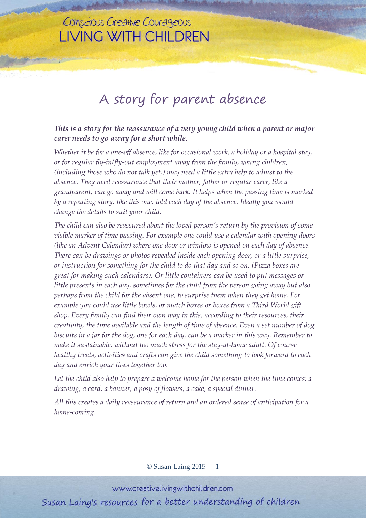## Conscious Creative Courageous **LIVING WITH CHILDREN**

## A story for parent absence

*This is a story for the reassurance of a very young child when a parent or major carer needs to go away for a short while.*

*Whether it be for a one-off absence, like for occasional work, a holiday or a hospital stay, or for regular fly-in/fly-out employment away from the family, young children, (including those who do not talk yet,) may need a little extra help to adjust to the absence. They need reassurance that their mother, father or regular carer, like a grandparent, can go away and will come back. It helps when the passing time is marked by a repeating story, like this one, told each day of the absence. Ideally you would change the details to suit your child.*

*The child can also be reassured about the loved person's return by the provision of some visible marker of time passing. For example one could use a calendar with opening doors (like an Advent Calendar) where one door or window is opened on each day of absence. There can be drawings or photos revealed inside each opening door, or a little surprise, or instruction for something for the child to do that day and so on. (Pizza boxes are great for making such calendars). Or little containers can be used to put messages or little presents in each day, sometimes for the child from the person going away but also perhaps from the child for the absent one, to surprise them when they get home. For example you could use little bowls, or match boxes or boxes from a Third World gift shop. Every family can find their own way in this, according to their resources, their creativity, the time available and the length of time of absence. Even a set number of dog* biscuits in a jar for the dog, one for each day, can be a marker in this way. Remember to *make it sustainable, without too much stress for the stay-at-home adult. Of course healthy treats, activities and crafts can give the child something to look forward to each day and enrich your lives together too.*

*Let the child also help to prepare a welcome home for the person when the time comes: a drawing, a card, a banner, a posy of flowers, a cake, a special dinner.*

*All this creates a daily reassurance of return and an ordered sense of anticipation for a home-coming.*

© Susan Laing 2015 1

www.creativelivingwithchildren.com

Susan Laing's resources for a better understanding of children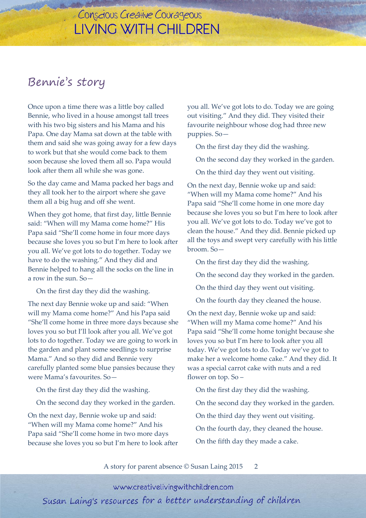## Conscious Creative Courageous **LIVING WITH CHILDREN**

## Bennie's story

Once upon a time there was a little boy called Bennie, who lived in a house amongst tall trees with his two big sisters and his Mama and his Papa. One day Mama sat down at the table with them and said she was going away for a few days to work but that she would come back to them soon because she loved them all so. Papa would look after them all while she was gone.

So the day came and Mama packed her bags and they all took her to the airport where she gave them all a big hug and off she went.

When they got home, that first day, little Bennie said: "When will my Mama come home?" His Papa said "She'll come home in four more days because she loves you so but I'm here to look after you all. We've got lots to do together. Today we have to do the washing." And they did and Bennie helped to hang all the socks on the line in a row in the sun. So—

On the first day they did the washing.

The next day Bennie woke up and said: "When will my Mama come home?" And his Papa said "She'll come home in three more days because she loves you so but I'll look after you all. We've got lots to do together. Today we are going to work in the garden and plant some seedlings to surprise Mama." And so they did and Bennie very carefully planted some blue pansies because they were Mama's favourites. So—

On the first day they did the washing.

On the second day they worked in the garden.

On the next day, Bennie woke up and said: "When will my Mama come home?" And his Papa said "She'll come home in two more days because she loves you so but I'm here to look after you all. We've got lots to do. Today we are going out visiting." And they did. They visited their favourite neighbour whose dog had three new puppies. So—

On the first day they did the washing.

On the second day they worked in the garden.

On the third day they went out visiting.

On the next day, Bennie woke up and said: "When will my Mama come home?" And his Papa said "She'll come home in one more day because she loves you so but I'm here to look after you all. We've got lots to do. Today we've got to clean the house." And they did. Bennie picked up all the toys and swept very carefully with his little broom. So—

On the first day they did the washing.

- On the second day they worked in the garden.
- On the third day they went out visiting.

On the fourth day they cleaned the house.

On the next day, Bennie woke up and said: "When will my Mama come home?" And his Papa said "She'll come home tonight because she loves you so but I'm here to look after you all today. We've got lots to do. Today we've got to make her a welcome home cake." And they did. It was a special carrot cake with nuts and a red flower on top. So –

On the first day they did the washing.

- On the second day they worked in the garden.
- On the third day they went out visiting.
- On the fourth day, they cleaned the house.
- On the fifth day they made a cake.

A story for parent absence © Susan Laing 2015 2

www.creativelivingwithchildren.com

Susan Laing's resources for a better understanding of children